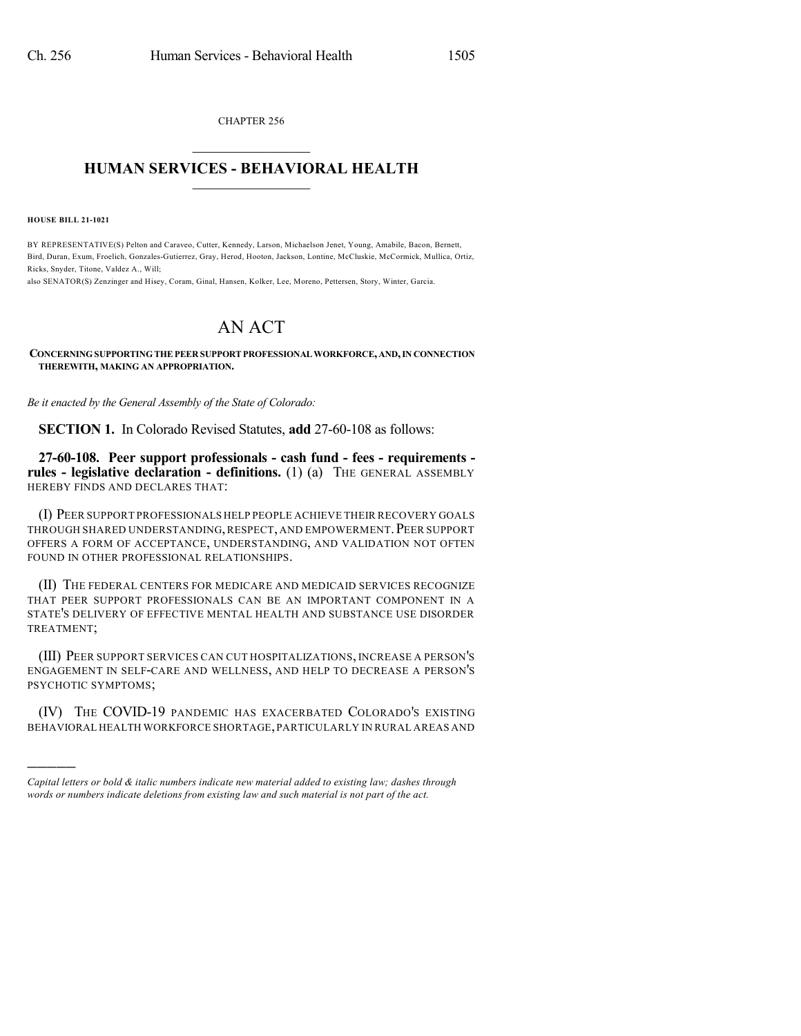CHAPTER 256  $\overline{\phantom{a}}$  . The set of the set of the set of the set of the set of the set of the set of the set of the set of the set of the set of the set of the set of the set of the set of the set of the set of the set of the set o

## **HUMAN SERVICES - BEHAVIORAL HEALTH**  $\frac{1}{2}$  ,  $\frac{1}{2}$  ,  $\frac{1}{2}$  ,  $\frac{1}{2}$  ,  $\frac{1}{2}$  ,  $\frac{1}{2}$  ,  $\frac{1}{2}$

**HOUSE BILL 21-1021**

)))))

BY REPRESENTATIVE(S) Pelton and Caraveo, Cutter, Kennedy, Larson, Michaelson Jenet, Young, Amabile, Bacon, Bernett, Bird, Duran, Exum, Froelich, Gonzales-Gutierrez, Gray, Herod, Hooton, Jackson, Lontine, McCluskie, McCormick, Mullica, Ortiz, Ricks, Snyder, Titone, Valdez A., Will;

also SENATOR(S) Zenzinger and Hisey, Coram, Ginal, Hansen, Kolker, Lee, Moreno, Pettersen, Story, Winter, Garcia.

## AN ACT

**CONCERNINGSUPPORTINGTHEPEER SUPPORTPROFESSIONALWORKFORCE,AND,IN CONNECTION THEREWITH, MAKING AN APPROPRIATION.**

*Be it enacted by the General Assembly of the State of Colorado:*

**SECTION 1.** In Colorado Revised Statutes, **add** 27-60-108 as follows:

**27-60-108. Peer support professionals - cash fund - fees - requirements rules - legislative declaration - definitions.** (1) (a) THE GENERAL ASSEMBLY HEREBY FINDS AND DECLARES THAT:

(I) PEER SUPPORT PROFESSIONALS HELP PEOPLE ACHIEVE THEIR RECOVERY GOALS THROUGH SHARED UNDERSTANDING, RESPECT, AND EMPOWERMENT. PEER SUPPORT OFFERS A FORM OF ACCEPTANCE, UNDERSTANDING, AND VALIDATION NOT OFTEN FOUND IN OTHER PROFESSIONAL RELATIONSHIPS.

(II) THE FEDERAL CENTERS FOR MEDICARE AND MEDICAID SERVICES RECOGNIZE THAT PEER SUPPORT PROFESSIONALS CAN BE AN IMPORTANT COMPONENT IN A STATE'S DELIVERY OF EFFECTIVE MENTAL HEALTH AND SUBSTANCE USE DISORDER TREATMENT;

(III) PEER SUPPORT SERVICES CAN CUT HOSPITALIZATIONS, INCREASE A PERSON'S ENGAGEMENT IN SELF-CARE AND WELLNESS, AND HELP TO DECREASE A PERSON'S PSYCHOTIC SYMPTOMS;

(IV) THE COVID-19 PANDEMIC HAS EXACERBATED COLORADO'S EXISTING BEHAVIORAL HEALTH WORKFORCE SHORTAGE,PARTICULARLY IN RURAL AREAS AND

*Capital letters or bold & italic numbers indicate new material added to existing law; dashes through words or numbers indicate deletions from existing law and such material is not part of the act.*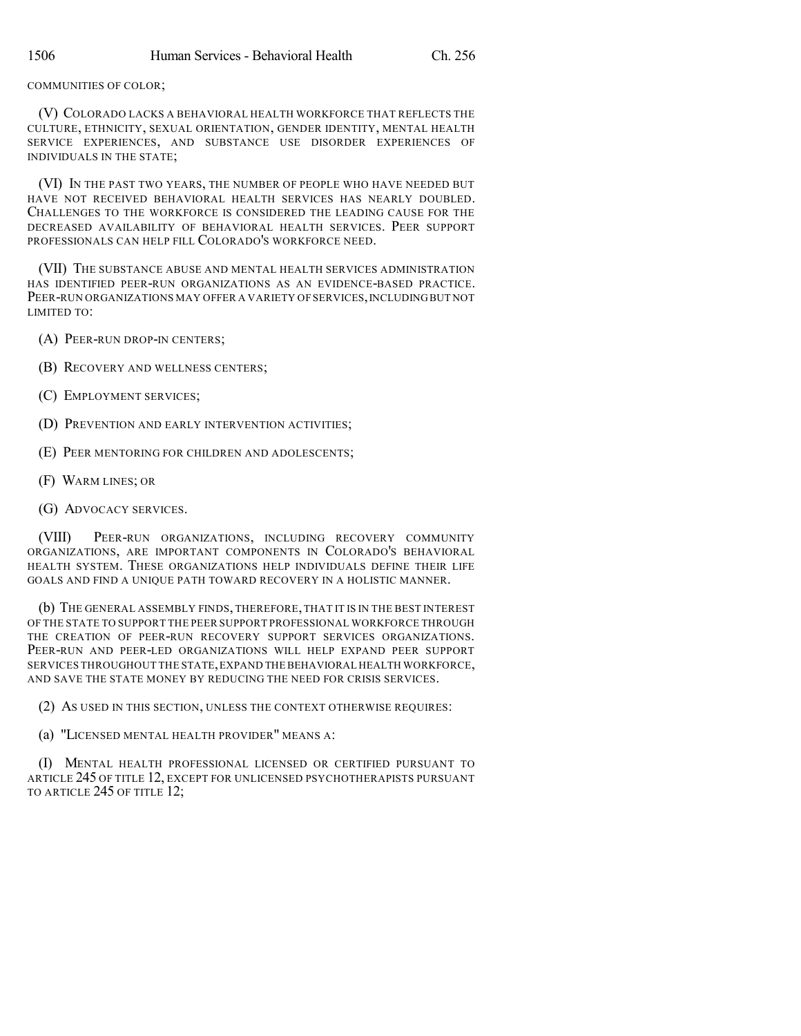## COMMUNITIES OF COLOR;

(V) COLORADO LACKS A BEHAVIORAL HEALTH WORKFORCE THAT REFLECTS THE CULTURE, ETHNICITY, SEXUAL ORIENTATION, GENDER IDENTITY, MENTAL HEALTH SERVICE EXPERIENCES, AND SUBSTANCE USE DISORDER EXPERIENCES OF INDIVIDUALS IN THE STATE;

(VI) IN THE PAST TWO YEARS, THE NUMBER OF PEOPLE WHO HAVE NEEDED BUT HAVE NOT RECEIVED BEHAVIORAL HEALTH SERVICES HAS NEARLY DOUBLED. CHALLENGES TO THE WORKFORCE IS CONSIDERED THE LEADING CAUSE FOR THE DECREASED AVAILABILITY OF BEHAVIORAL HEALTH SERVICES. PEER SUPPORT PROFESSIONALS CAN HELP FILL COLORADO'S WORKFORCE NEED.

(VII) THE SUBSTANCE ABUSE AND MENTAL HEALTH SERVICES ADMINISTRATION HAS IDENTIFIED PEER-RUN ORGANIZATIONS AS AN EVIDENCE-BASED PRACTICE. PEER-RUN ORGANIZATIONS MAY OFFER A VARIETY OF SERVICES, INCLUDING BUT NOT LIMITED TO:

- (A) PEER-RUN DROP-IN CENTERS;
- (B) RECOVERY AND WELLNESS CENTERS;
- (C) EMPLOYMENT SERVICES;
- (D) PREVENTION AND EARLY INTERVENTION ACTIVITIES;
- (E) PEER MENTORING FOR CHILDREN AND ADOLESCENTS;
- (F) WARM LINES; OR
- (G) ADVOCACY SERVICES.

(VIII) PEER-RUN ORGANIZATIONS, INCLUDING RECOVERY COMMUNITY ORGANIZATIONS, ARE IMPORTANT COMPONENTS IN COLORADO'S BEHAVIORAL HEALTH SYSTEM. THESE ORGANIZATIONS HELP INDIVIDUALS DEFINE THEIR LIFE GOALS AND FIND A UNIQUE PATH TOWARD RECOVERY IN A HOLISTIC MANNER.

(b) THE GENERAL ASSEMBLY FINDS, THEREFORE, THAT IT IS IN THE BEST INTEREST OF THE STATE TO SUPPORT THE PEER SUPPORT PROFESSIONAL WORKFORCE THROUGH THE CREATION OF PEER-RUN RECOVERY SUPPORT SERVICES ORGANIZATIONS. PEER-RUN AND PEER-LED ORGANIZATIONS WILL HELP EXPAND PEER SUPPORT SERVICES THROUGHOUT THE STATE,EXPAND THE BEHAVIORAL HEALTH WORKFORCE, AND SAVE THE STATE MONEY BY REDUCING THE NEED FOR CRISIS SERVICES.

- (2) AS USED IN THIS SECTION, UNLESS THE CONTEXT OTHERWISE REQUIRES:
- (a) "LICENSED MENTAL HEALTH PROVIDER" MEANS A:

(I) MENTAL HEALTH PROFESSIONAL LICENSED OR CERTIFIED PURSUANT TO ARTICLE 245 OF TITLE 12, EXCEPT FOR UNLICENSED PSYCHOTHERAPISTS PURSUANT TO ARTICLE 245 OF TITLE 12;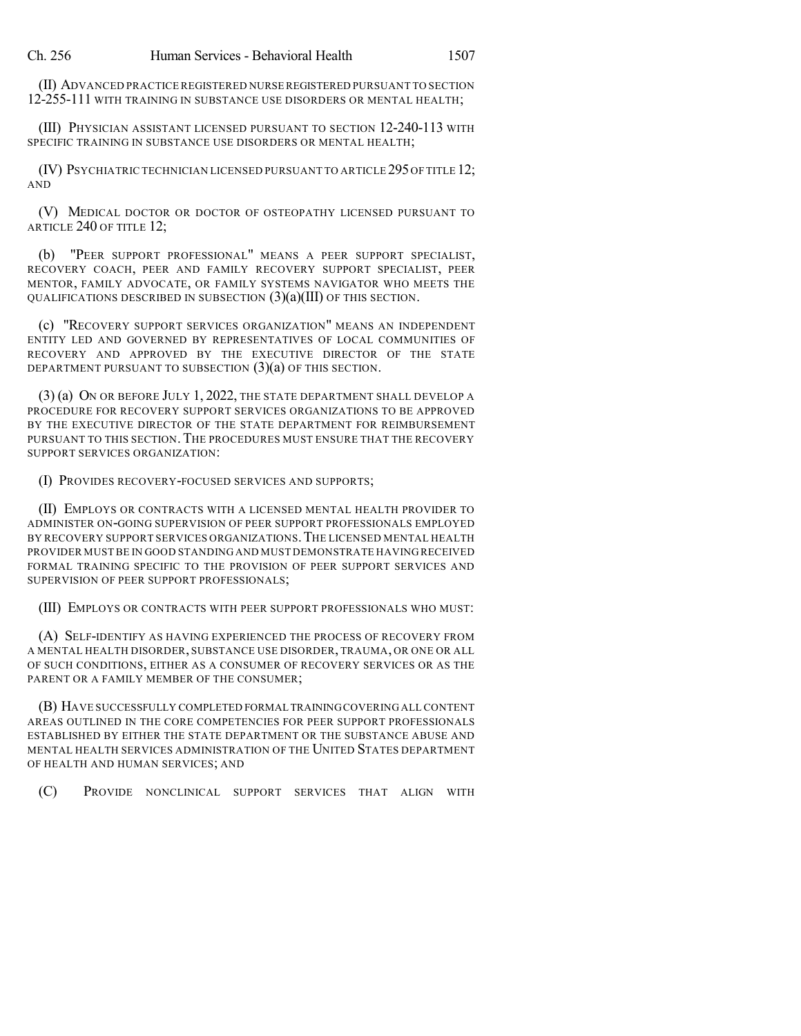(II) ADVANCED PRACTICE REGISTERED NURSE REGISTERED PURSUANT TO SECTION 12-255-111 WITH TRAINING IN SUBSTANCE USE DISORDERS OR MENTAL HEALTH;

(III) PHYSICIAN ASSISTANT LICENSED PURSUANT TO SECTION 12-240-113 WITH SPECIFIC TRAINING IN SUBSTANCE USE DISORDERS OR MENTAL HEALTH;

(IV) PSYCHIATRIC TECHNICIAN LICENSED PURSUANT TO ARTICLE 295OF TITLE 12; AND

(V) MEDICAL DOCTOR OR DOCTOR OF OSTEOPATHY LICENSED PURSUANT TO ARTICLE 240 OF TITLE 12;

(b) "PEER SUPPORT PROFESSIONAL" MEANS A PEER SUPPORT SPECIALIST, RECOVERY COACH, PEER AND FAMILY RECOVERY SUPPORT SPECIALIST, PEER MENTOR, FAMILY ADVOCATE, OR FAMILY SYSTEMS NAVIGATOR WHO MEETS THE QUALIFICATIONS DESCRIBED IN SUBSECTION (3)(a)(III) OF THIS SECTION.

(c) "RECOVERY SUPPORT SERVICES ORGANIZATION" MEANS AN INDEPENDENT ENTITY LED AND GOVERNED BY REPRESENTATIVES OF LOCAL COMMUNITIES OF RECOVERY AND APPROVED BY THE EXECUTIVE DIRECTOR OF THE STATE DEPARTMENT PURSUANT TO SUBSECTION (3)(a) OF THIS SECTION.

(3) (a) ON OR BEFORE JULY 1, 2022, THE STATE DEPARTMENT SHALL DEVELOP A PROCEDURE FOR RECOVERY SUPPORT SERVICES ORGANIZATIONS TO BE APPROVED BY THE EXECUTIVE DIRECTOR OF THE STATE DEPARTMENT FOR REIMBURSEMENT PURSUANT TO THIS SECTION. THE PROCEDURES MUST ENSURE THAT THE RECOVERY SUPPORT SERVICES ORGANIZATION:

(I) PROVIDES RECOVERY-FOCUSED SERVICES AND SUPPORTS;

(II) EMPLOYS OR CONTRACTS WITH A LICENSED MENTAL HEALTH PROVIDER TO ADMINISTER ON-GOING SUPERVISION OF PEER SUPPORT PROFESSIONALS EMPLOYED BY RECOVERY SUPPORT SERVICES ORGANIZATIONS.THE LICENSED MENTAL HEALTH PROVIDER MUST BE IN GOOD STANDING AND MUST DEMONSTRATE HAVING RECEIVED FORMAL TRAINING SPECIFIC TO THE PROVISION OF PEER SUPPORT SERVICES AND SUPERVISION OF PEER SUPPORT PROFESSIONALS;

(III) EMPLOYS OR CONTRACTS WITH PEER SUPPORT PROFESSIONALS WHO MUST:

(A) SELF-IDENTIFY AS HAVING EXPERIENCED THE PROCESS OF RECOVERY FROM A MENTAL HEALTH DISORDER, SUBSTANCE USE DISORDER, TRAUMA, OR ONE OR ALL OF SUCH CONDITIONS, EITHER AS A CONSUMER OF RECOVERY SERVICES OR AS THE PARENT OR A FAMILY MEMBER OF THE CONSUMER;

(B) HAVE SUCCESSFULLY COMPLETED FORMAL TRAININGCOVERING ALL CONTENT AREAS OUTLINED IN THE CORE COMPETENCIES FOR PEER SUPPORT PROFESSIONALS ESTABLISHED BY EITHER THE STATE DEPARTMENT OR THE SUBSTANCE ABUSE AND MENTAL HEALTH SERVICES ADMINISTRATION OF THE UNITED STATES DEPARTMENT OF HEALTH AND HUMAN SERVICES; AND

(C) PROVIDE NONCLINICAL SUPPORT SERVICES THAT ALIGN WITH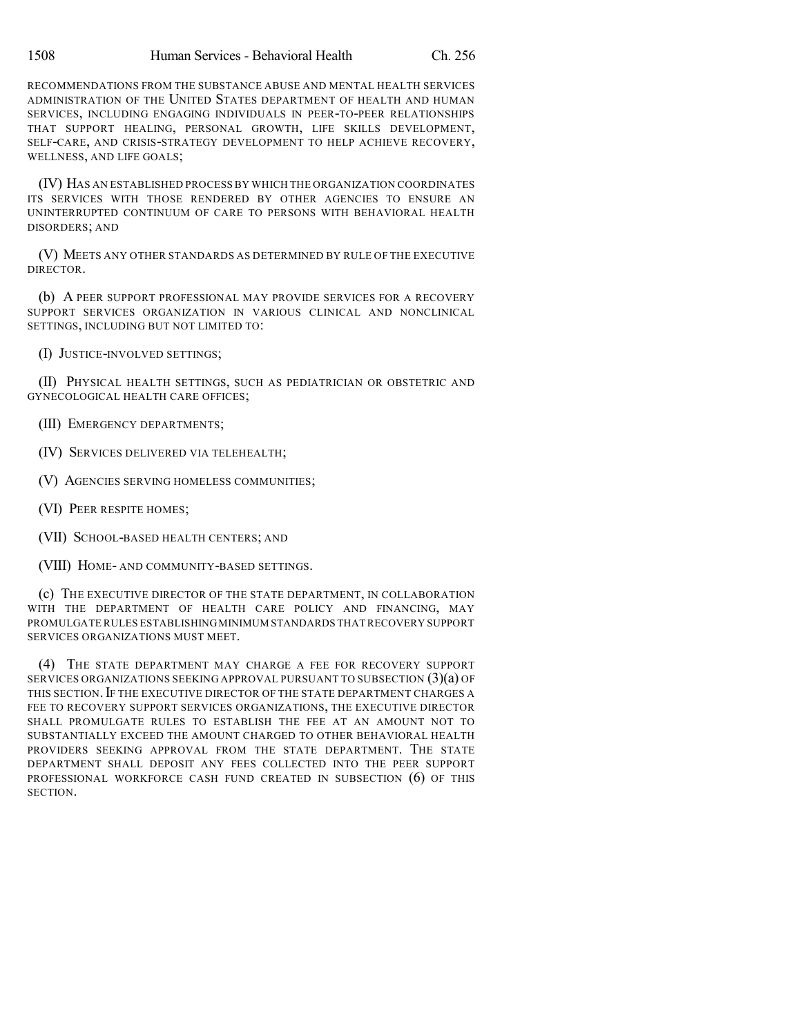RECOMMENDATIONS FROM THE SUBSTANCE ABUSE AND MENTAL HEALTH SERVICES ADMINISTRATION OF THE UNITED STATES DEPARTMENT OF HEALTH AND HUMAN SERVICES, INCLUDING ENGAGING INDIVIDUALS IN PEER-TO-PEER RELATIONSHIPS THAT SUPPORT HEALING, PERSONAL GROWTH, LIFE SKILLS DEVELOPMENT, SELF-CARE, AND CRISIS-STRATEGY DEVELOPMENT TO HELP ACHIEVE RECOVERY, WELLNESS, AND LIFE GOALS;

(IV) HAS AN ESTABLISHED PROCESS BY WHICH THE ORGANIZATION COORDINATES ITS SERVICES WITH THOSE RENDERED BY OTHER AGENCIES TO ENSURE AN UNINTERRUPTED CONTINUUM OF CARE TO PERSONS WITH BEHAVIORAL HEALTH DISORDERS; AND

(V) MEETS ANY OTHER STANDARDS AS DETERMINED BY RULE OF THE EXECUTIVE DIRECTOR.

(b) A PEER SUPPORT PROFESSIONAL MAY PROVIDE SERVICES FOR A RECOVERY SUPPORT SERVICES ORGANIZATION IN VARIOUS CLINICAL AND NONCLINICAL SETTINGS, INCLUDING BUT NOT LIMITED TO:

(I) JUSTICE-INVOLVED SETTINGS;

(II) PHYSICAL HEALTH SETTINGS, SUCH AS PEDIATRICIAN OR OBSTETRIC AND GYNECOLOGICAL HEALTH CARE OFFICES;

(III) EMERGENCY DEPARTMENTS;

(IV) SERVICES DELIVERED VIA TELEHEALTH;

(V) AGENCIES SERVING HOMELESS COMMUNITIES;

(VI) PEER RESPITE HOMES;

(VII) SCHOOL-BASED HEALTH CENTERS; AND

(VIII) HOME- AND COMMUNITY-BASED SETTINGS.

(c) THE EXECUTIVE DIRECTOR OF THE STATE DEPARTMENT, IN COLLABORATION WITH THE DEPARTMENT OF HEALTH CARE POLICY AND FINANCING, MAY PROMULGATE RULES ESTABLISHINGMINIMUM STANDARDS THAT RECOVERY SUPPORT SERVICES ORGANIZATIONS MUST MEET.

(4) THE STATE DEPARTMENT MAY CHARGE A FEE FOR RECOVERY SUPPORT SERVICES ORGANIZATIONS SEEKING APPROVAL PURSUANT TO SUBSECTION (3)(a) OF THIS SECTION. IF THE EXECUTIVE DIRECTOR OF THE STATE DEPARTMENT CHARGES A FEE TO RECOVERY SUPPORT SERVICES ORGANIZATIONS, THE EXECUTIVE DIRECTOR SHALL PROMULGATE RULES TO ESTABLISH THE FEE AT AN AMOUNT NOT TO SUBSTANTIALLY EXCEED THE AMOUNT CHARGED TO OTHER BEHAVIORAL HEALTH PROVIDERS SEEKING APPROVAL FROM THE STATE DEPARTMENT. THE STATE DEPARTMENT SHALL DEPOSIT ANY FEES COLLECTED INTO THE PEER SUPPORT PROFESSIONAL WORKFORCE CASH FUND CREATED IN SUBSECTION (6) OF THIS **SECTION**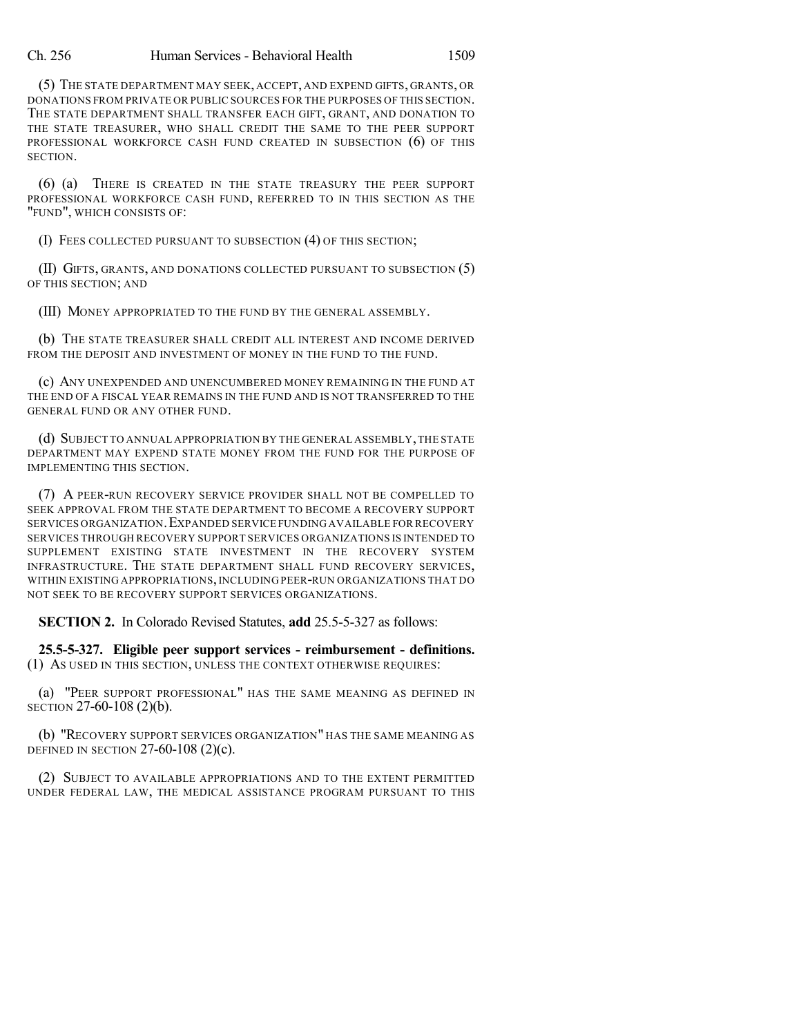(5) THE STATE DEPARTMENT MAY SEEK, ACCEPT, AND EXPEND GIFTS, GRANTS, OR DONATIONS FROM PRIVATE OR PUBLIC SOURCES FOR THE PURPOSES OF THIS SECTION. THE STATE DEPARTMENT SHALL TRANSFER EACH GIFT, GRANT, AND DONATION TO THE STATE TREASURER, WHO SHALL CREDIT THE SAME TO THE PEER SUPPORT PROFESSIONAL WORKFORCE CASH FUND CREATED IN SUBSECTION (6) OF THIS SECTION.

(6) (a) THERE IS CREATED IN THE STATE TREASURY THE PEER SUPPORT PROFESSIONAL WORKFORCE CASH FUND, REFERRED TO IN THIS SECTION AS THE "FUND", WHICH CONSISTS OF:

(I) FEES COLLECTED PURSUANT TO SUBSECTION (4) OF THIS SECTION;

(II) GIFTS, GRANTS, AND DONATIONS COLLECTED PURSUANT TO SUBSECTION (5) OF THIS SECTION; AND

(III) MONEY APPROPRIATED TO THE FUND BY THE GENERAL ASSEMBLY.

(b) THE STATE TREASURER SHALL CREDIT ALL INTEREST AND INCOME DERIVED FROM THE DEPOSIT AND INVESTMENT OF MONEY IN THE FUND TO THE FUND.

(c) ANY UNEXPENDED AND UNENCUMBERED MONEY REMAINING IN THE FUND AT THE END OF A FISCAL YEAR REMAINS IN THE FUND AND IS NOT TRANSFERRED TO THE GENERAL FUND OR ANY OTHER FUND.

(d) SUBJECT TO ANNUAL APPROPRIATION BY THE GENERAL ASSEMBLY,THE STATE DEPARTMENT MAY EXPEND STATE MONEY FROM THE FUND FOR THE PURPOSE OF IMPLEMENTING THIS SECTION.

(7) A PEER-RUN RECOVERY SERVICE PROVIDER SHALL NOT BE COMPELLED TO SEEK APPROVAL FROM THE STATE DEPARTMENT TO BECOME A RECOVERY SUPPORT SERVICES ORGANIZATION.EXPANDED SERVICE FUNDING AVAILABLE FOR RECOVERY SERVICES THROUGH RECOVERY SUPPORT SERVICES ORGANIZATIONS IS INTENDED TO SUPPLEMENT EXISTING STATE INVESTMENT IN THE RECOVERY SYSTEM INFRASTRUCTURE. THE STATE DEPARTMENT SHALL FUND RECOVERY SERVICES, WITHIN EXISTING APPROPRIATIONS, INCLUDING PEER-RUN ORGANIZATIONS THAT DO NOT SEEK TO BE RECOVERY SUPPORT SERVICES ORGANIZATIONS.

**SECTION 2.** In Colorado Revised Statutes, **add** 25.5-5-327 as follows:

**25.5-5-327. Eligible peer support services - reimbursement - definitions.** (1) AS USED IN THIS SECTION, UNLESS THE CONTEXT OTHERWISE REQUIRES:

(a) "PEER SUPPORT PROFESSIONAL" HAS THE SAME MEANING AS DEFINED IN SECTION 27-60-108 (2)(b).

(b) "RECOVERY SUPPORT SERVICES ORGANIZATION" HAS THE SAME MEANING AS DEFINED IN SECTION  $27-60-108$  (2)(c).

(2) SUBJECT TO AVAILABLE APPROPRIATIONS AND TO THE EXTENT PERMITTED UNDER FEDERAL LAW, THE MEDICAL ASSISTANCE PROGRAM PURSUANT TO THIS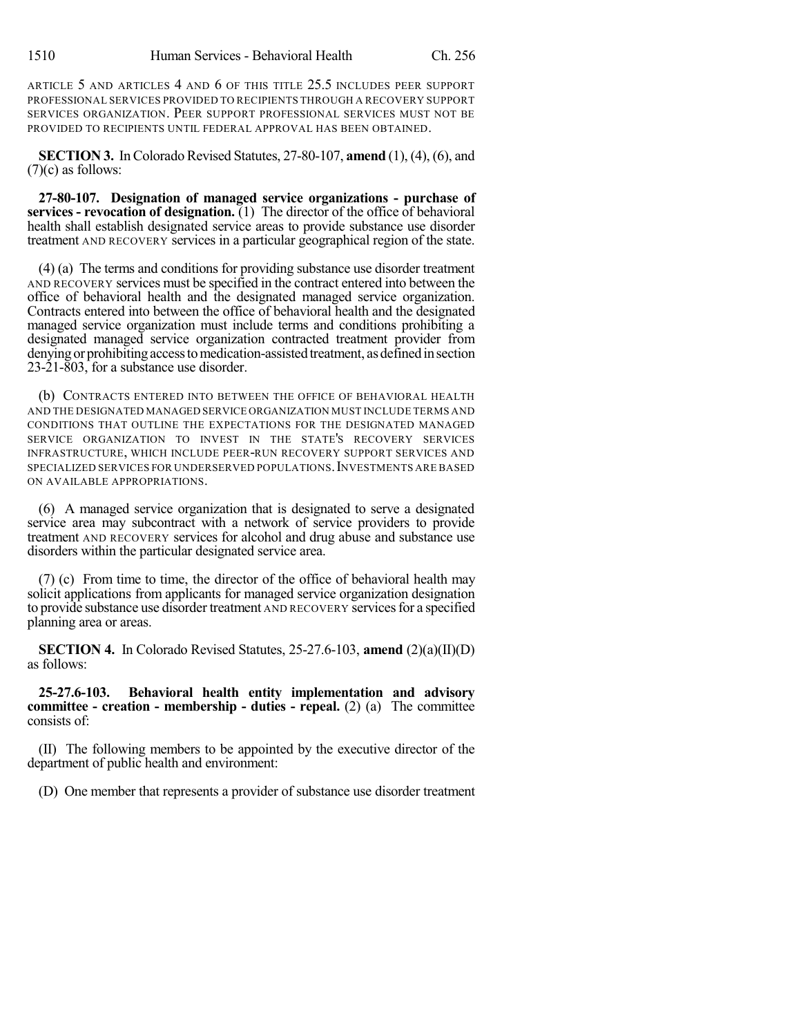ARTICLE 5 AND ARTICLES 4 AND 6 OF THIS TITLE 25.5 INCLUDES PEER SUPPORT PROFESSIONAL SERVICES PROVIDED TO RECIPIENTS THROUGH A RECOVERY SUPPORT SERVICES ORGANIZATION. PEER SUPPORT PROFESSIONAL SERVICES MUST NOT BE PROVIDED TO RECIPIENTS UNTIL FEDERAL APPROVAL HAS BEEN OBTAINED.

**SECTION 3.** In Colorado Revised Statutes,  $27-80-107$ , **amend**  $(1)$ ,  $(4)$ ,  $(6)$ , and  $(7)(c)$  as follows:

**27-80-107. Designation of managed service organizations - purchase of services - revocation of designation.** (1) The director of the office of behavioral health shall establish designated service areas to provide substance use disorder treatment AND RECOVERY services in a particular geographical region of the state.

(4) (a) The terms and conditions for providing substance use disorder treatment AND RECOVERY services must be specified in the contract entered into between the office of behavioral health and the designated managed service organization. Contracts entered into between the office of behavioral health and the designated managed service organization must include terms and conditions prohibiting a designated managed service organization contracted treatment provider from denying or prohibiting access to medication-assisted treatment, as defined in section 23-21-803, for a substance use disorder.

(b) CONTRACTS ENTERED INTO BETWEEN THE OFFICE OF BEHAVIORAL HEALTH AND THE DESIGNATED MANAGED SERVICE ORGANIZATION MUST INCLUDE TERMS AND CONDITIONS THAT OUTLINE THE EXPECTATIONS FOR THE DESIGNATED MANAGED SERVICE ORGANIZATION TO INVEST IN THE STATE'S RECOVERY SERVICES INFRASTRUCTURE, WHICH INCLUDE PEER-RUN RECOVERY SUPPORT SERVICES AND SPECIALIZED SERVICES FOR UNDERSERVED POPULATIONS.INVESTMENTS ARE BASED ON AVAILABLE APPROPRIATIONS.

(6) A managed service organization that is designated to serve a designated service area may subcontract with a network of service providers to provide treatment AND RECOVERY services for alcohol and drug abuse and substance use disorders within the particular designated service area.

(7) (c) From time to time, the director of the office of behavioral health may solicit applications from applicants for managed service organization designation to provide substance use disorder treatment AND RECOVERY services for a specified planning area or areas.

**SECTION 4.** In Colorado Revised Statutes, 25-27.6-103, **amend** (2)(a)(II)(D) as follows:

**25-27.6-103. Behavioral health entity implementation and advisory committee - creation - membership - duties - repeal.** (2) (a) The committee consists of:

(II) The following members to be appointed by the executive director of the department of public health and environment:

(D) One member that represents a provider of substance use disorder treatment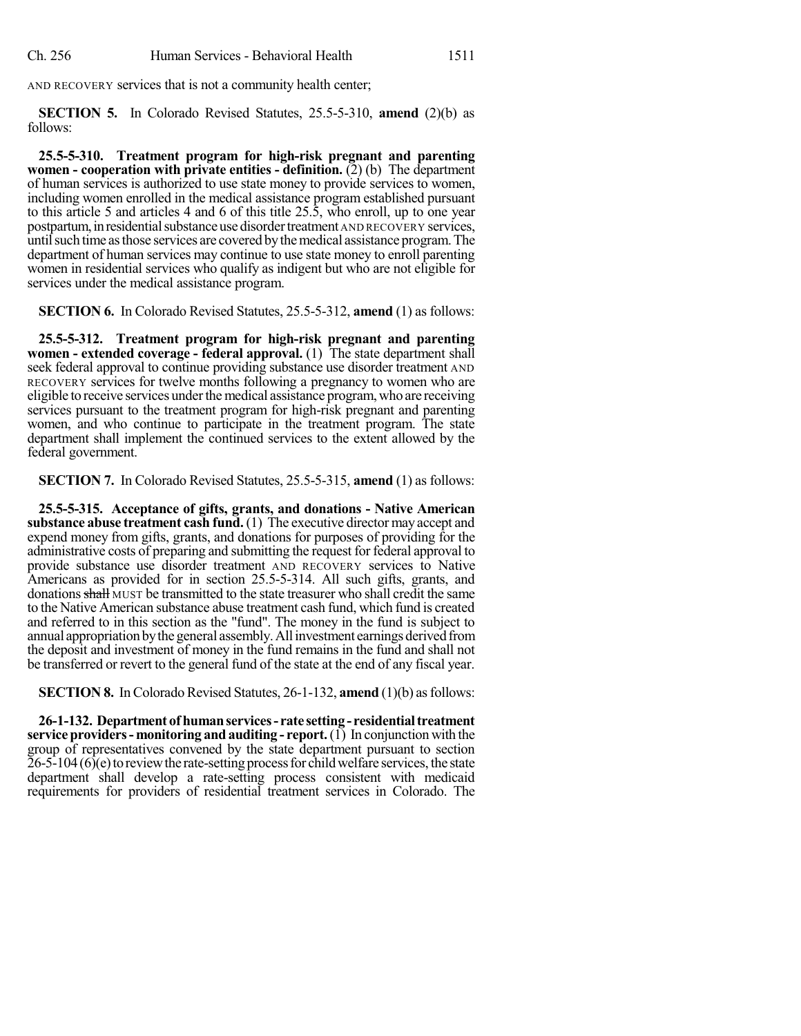AND RECOVERY services that is not a community health center;

**SECTION 5.** In Colorado Revised Statutes, 25.5-5-310, **amend** (2)(b) as follows:

**25.5-5-310. Treatment program for high-risk pregnant and parenting women - cooperation with private entities - definition.** (2) (b) The department of human services is authorized to use state money to provide services to women, including women enrolled in the medical assistance program established pursuant to this article 5 and articles 4 and 6 of this title  $25.\overline{5}$ , who enroll, up to one year postpartum, in residential substance use disorder treatment AND RECOVERY services, untilsuch time asthose services are covered bythemedical assistance program.The department of human services may continue to use state money to enroll parenting women in residential services who qualify as indigent but who are not eligible for services under the medical assistance program.

**SECTION 6.** In Colorado Revised Statutes, 25.5-5-312, **amend** (1) as follows:

**25.5-5-312. Treatment program for high-risk pregnant and parenting women - extended coverage - federal approval.** (1) The state department shall seek federal approval to continue providing substance use disorder treatment AND RECOVERY services for twelve months following a pregnancy to women who are eligible to receive services under the medical assistance program, who are receiving services pursuant to the treatment program for high-risk pregnant and parenting women, and who continue to participate in the treatment program. The state department shall implement the continued services to the extent allowed by the federal government.

**SECTION 7.** In Colorado Revised Statutes, 25.5-5-315, **amend** (1) as follows:

**25.5-5-315. Acceptance of gifts, grants, and donations - Native American substance abuse treatment cash fund.** (1) The executive director may accept and expend money from gifts, grants, and donations for purposes of providing for the administrative costs of preparing and submitting the request for federal approval to provide substance use disorder treatment AND RECOVERY services to Native Americans as provided for in section 25.5-5-314. All such gifts, grants, and donations shall MUST be transmitted to the state treasurer who shall credit the same to the Native American substance abuse treatment cash fund, which fund is created and referred to in this section as the "fund". The money in the fund is subject to annual appropriation by the general assembly. All investment earnings derived from the deposit and investment of money in the fund remains in the fund and shall not be transferred or revert to the general fund of the state at the end of any fiscal year.

**SECTION 8.** In Colorado Revised Statutes, 26-1-132, **amend** (1)(b) as follows:

**26-1-132. Department ofhumanservices- rate setting- residentialtreatment service providers- monitoring and auditing - report.**(1) In conjunction with the group of representatives convened by the state department pursuant to section  $26-5-104$  (6)(e) to review the rate-setting process for child welfare services, the state department shall develop a rate-setting process consistent with medicaid requirements for providers of residential treatment services in Colorado. The